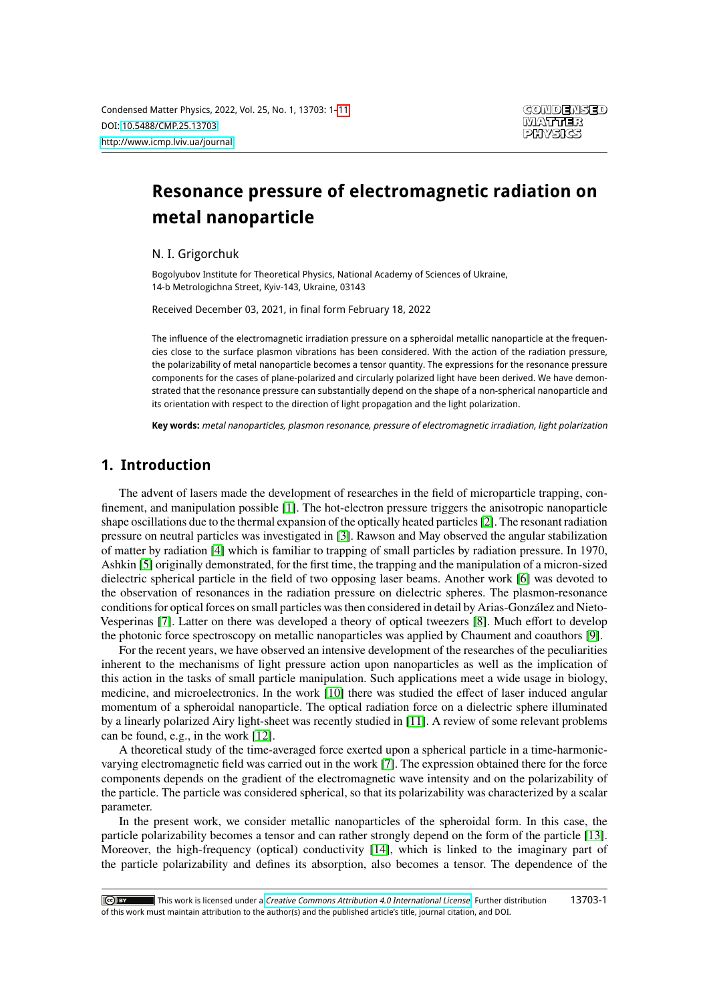# **Resonance pressure of electromagnetic radiation on metal nanoparticle**

N. I. Grigorchuk

Bogolyubov Institute for Theoretical Physics, National Academy of Sciences of Ukraine, 14-b Metrologichna Street, Kyiv-143, Ukraine, 03143

Received December 03, 2021, in final form February 18, 2022

The influence of the electromagnetic irradiation pressure on a spheroidal metallic nanoparticle at the frequencies close to the surface plasmon vibrations has been considered. With the action of the radiation pressure, the polarizability of metal nanoparticle becomes a tensor quantity. The expressions for the resonance pressure components for the cases of plane-polarized and circularly polarized light have been derived. We have demonstrated that the resonance pressure can substantially depend on the shape of a non-spherical nanoparticle and its orientation with respect to the direction of light propagation and the light polarization.

**Key words:** metal nanoparticles, plasmon resonance, pressure of electromagnetic irradiation, light polarization

## **1. Introduction**

The advent of lasers made the development of researches in the field of microparticle trapping, confinement, and manipulation possible [\[1\]](#page-9-1). The hot-electron pressure triggers the anisotropic nanoparticle shape oscillations due to the thermal expansion of the optically heated particles [\[2\]](#page-9-2). The resonant radiation pressure on neutral particles was investigated in [\[3\]](#page-9-3). Rawson and May observed the angular stabilization of matter by radiation [\[4\]](#page-9-4) which is familiar to trapping of small particles by radiation pressure. In 1970, Ashkin [\[5\]](#page-9-5) originally demonstrated, for the first time, the trapping and the manipulation of a micron-sized dielectric spherical particle in the field of two opposing laser beams. Another work [\[6\]](#page-9-6) was devoted to the observation of resonances in the radiation pressure on dielectric spheres. The plasmon-resonance conditions for optical forces on small particles was then considered in detail by Arias-González and Nieto-Vesperinas [\[7\]](#page-9-7). Latter on there was developed a theory of optical tweezers [\[8\]](#page-9-8). Much effort to develop the photonic force spectroscopy on metallic nanoparticles was applied by Chaument and coauthors [\[9\]](#page-9-9).

For the recent years, we have observed an intensive development of the researches of the peculiarities inherent to the mechanisms of light pressure action upon nanoparticles as well as the implication of this action in the tasks of small particle manipulation. Such applications meet a wide usage in biology, medicine, and microelectronics. In the work [\[10\]](#page-9-10) there was studied the effect of laser induced angular momentum of a spheroidal nanoparticle. The optical radiation force on a dielectric sphere illuminated by a linearly polarized Airy light-sheet was recently studied in [\[11\]](#page-9-11). A review of some relevant problems can be found, e.g., in the work [\[12\]](#page-9-12).

A theoretical study of the time-averaged force exerted upon a spherical particle in a time-harmonicvarying electromagnetic field was carried out in the work [\[7\]](#page-9-7). The expression obtained there for the force components depends on the gradient of the electromagnetic wave intensity and on the polarizability of the particle. The particle was considered spherical, so that its polarizability was characterized by a scalar parameter.

In the present work, we consider metallic nanoparticles of the spheroidal form. In this case, the particle polarizability becomes a tensor and can rather strongly depend on the form of the particle [\[13\]](#page-9-13). Moreover, the high-frequency (optical) conductivity [\[14\]](#page-9-14), which is linked to the imaginary part of the particle polarizability and defines its absorption, also becomes a tensor. The dependence of the

<sup>13703-1</sup>This work is licensed under a [Creative Commons Attribution 4.0 International License](https://creativecommons.org/licenses/by/4.0/). Further distribution  $\overline{C}$  by of this work must maintain attribution to the author(s) and the published article's title, journal citation, and DOI.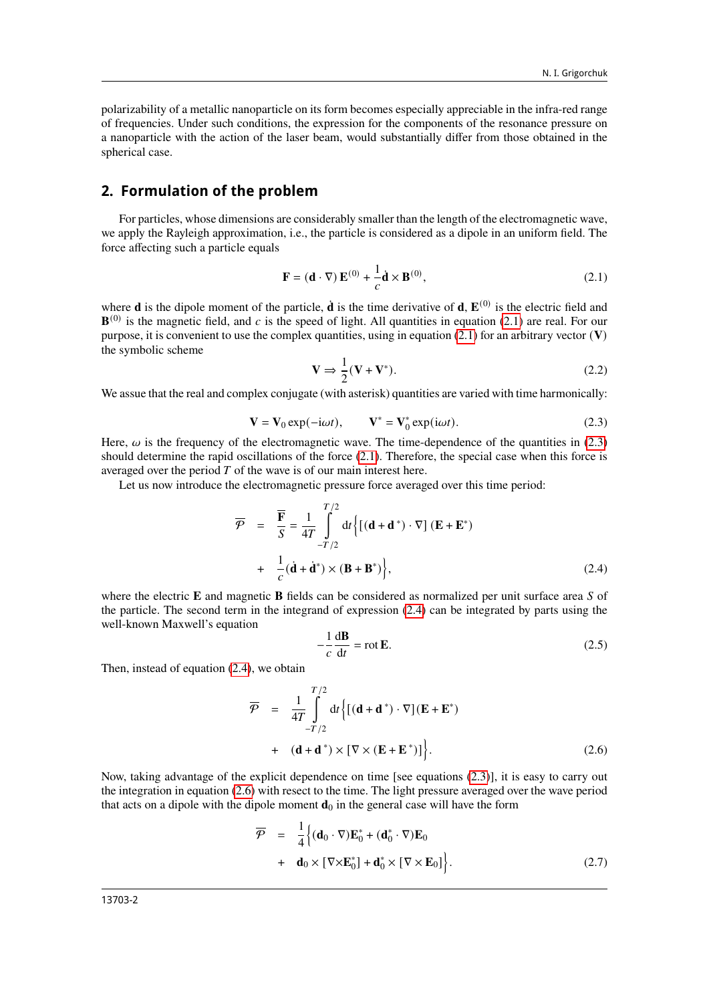polarizability of a metallic nanoparticle on its form becomes especially appreciable in the infra-red range of frequencies. Under such conditions, the expression for the components of the resonance pressure on a nanoparticle with the action of the laser beam, would substantially differ from those obtained in the spherical case.

## **2. Formulation of the problem**

For particles, whose dimensions are considerably smaller than the length of the electromagnetic wave, we apply the Rayleigh approximation, i.e., the particle is considered as a dipole in an uniform field. The force affecting such a particle equals

<span id="page-1-0"></span>
$$
\mathbf{F} = (\mathbf{d} \cdot \nabla) \mathbf{E}^{(0)} + \frac{1}{c} \dot{\mathbf{d}} \times \mathbf{B}^{(0)},
$$
 (2.1)

where **d** is the dipole moment of the particle,  $\dot{d}$  is the time derivative of **d**,  $\mathbf{E}^{(0)}$  is the electric field and  $\mathbf{B}^{(0)}$  is the magnetic field, and c is the speed of light. All quantities in equation [\(2.1\)](#page-1-0) are real. For our purpose, it is convenient to use the complex quantities, using in equation  $(2.1)$  for an arbitrary vector  $(V)$ the symbolic scheme

$$
\mathbf{V} \Rightarrow \frac{1}{2} (\mathbf{V} + \mathbf{V}^*). \tag{2.2}
$$

<span id="page-1-1"></span>We assue that the real and complex conjugate (with asterisk) quantities are varied with time harmonically:

$$
\mathbf{V} = \mathbf{V}_0 \exp(-i\omega t), \qquad \mathbf{V}^* = \mathbf{V}_0^* \exp(i\omega t). \tag{2.3}
$$

Here,  $\omega$  is the frequency of the electromagnetic wave. The time-dependence of the quantities in [\(2.3\)](#page-1-1) should determine the rapid oscillations of the force [\(2.1\)](#page-1-0). Therefore, the special case when this force is averaged over the period  $T$  of the wave is of our main interest here.

Let us now introduce the electromagnetic pressure force averaged over this time period:

<span id="page-1-2"></span>
$$
\overline{\mathcal{P}} = \overline{\mathbf{F}} = \frac{1}{4T} \int_{-T/2}^{T/2} dt \Big\{ [(d + d^*) \cdot \nabla] (E + E^*)
$$
  
+ 
$$
\frac{1}{C} (\dot{d} + \dot{d}^*) \times (B + B^*) \Big\},
$$
 (2.4)

where the electric **E** and magnetic **B** fields can be considered as normalized per unit surface area S of the particle. The second term in the integrand of expression [\(2.4\)](#page-1-2) can be integrated by parts using the well-known Maxwell's equation

$$
-\frac{1}{c}\frac{d\mathbf{B}}{dt} = \text{rot}\,\mathbf{E}.\tag{2.5}
$$

Then, instead of equation [\(2.4\)](#page-1-2), we obtain

<span id="page-1-3"></span>
$$
\overline{\mathcal{P}} = \frac{1}{4T} \int_{-T/2}^{T/2} dt \Big\{ \big[ (\mathbf{d} + \mathbf{d}^*) \cdot \nabla \big] (\mathbf{E} + \mathbf{E}^*)
$$
  
+ 
$$
(\mathbf{d} + \mathbf{d}^*) \times [\nabla \times (\mathbf{E} + \mathbf{E}^*)] \Big\}.
$$
 (2.6)

Now, taking advantage of the explicit dependence on time [see equations [\(2.3\)](#page-1-1)], it is easy to carry out the integration in equation [\(2.6\)](#page-1-3) with resect to the time. The light pressure averaged over the wave period that acts on a dipole with the dipole moment  $\mathbf{d}_0$  in the general case will have the form

<span id="page-1-4"></span>
$$
\overline{\mathcal{P}} = \frac{1}{4} \Big\{ (\mathbf{d}_0 \cdot \nabla) \mathbf{E}_0^* + (\mathbf{d}_0^* \cdot \nabla) \mathbf{E}_0
$$
  
+  $\mathbf{d}_0 \times [\nabla \times \mathbf{E}_0^*] + \mathbf{d}_0^* \times [\nabla \times \mathbf{E}_0] \Big\}.$  (2.7)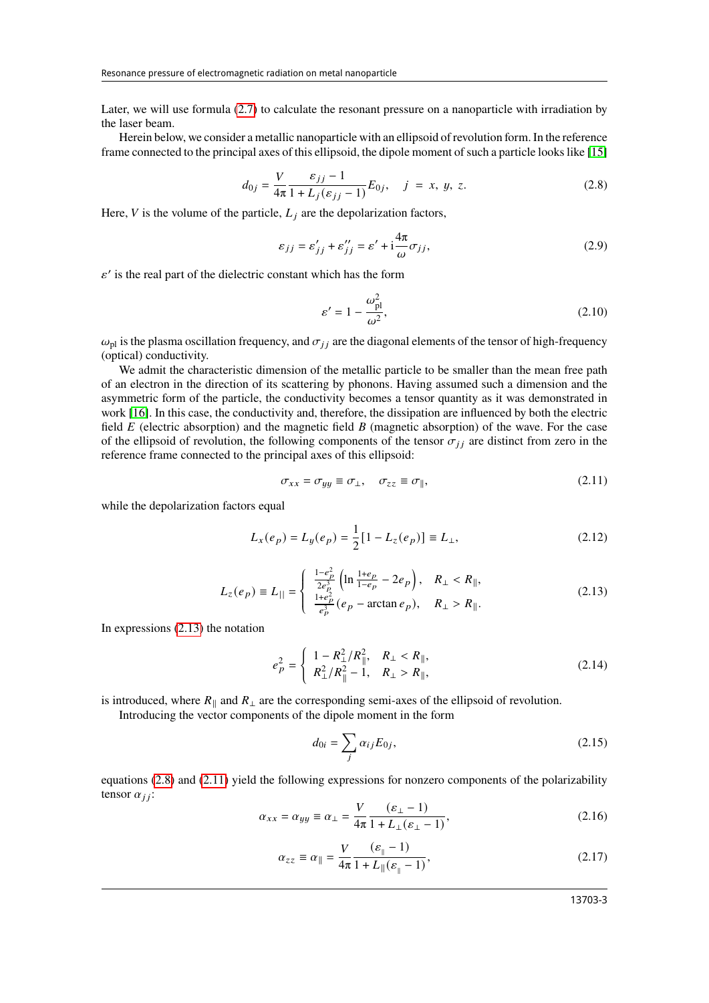Later, we will use formula [\(2.7\)](#page-1-4) to calculate the resonant pressure on a nanoparticle with irradiation by the laser beam.

<span id="page-2-1"></span>Herein below, we consider a metallic nanoparticle with an ellipsoid of revolution form. In the reference frame connected to the principal axes of this ellipsoid, the dipole moment of such a particle looks like [\[15\]](#page-9-15)

$$
d_{0j} = \frac{V}{4\pi} \frac{\varepsilon_{jj} - 1}{1 + L_j(\varepsilon_{jj} - 1)} E_{0j}, \quad j = x, y, z.
$$
 (2.8)

Here,  $V$  is the volume of the particle,  $L_i$  are the depolarization factors,

$$
\varepsilon_{jj} = \varepsilon'_{jj} + \varepsilon''_{jj} = \varepsilon' + i\frac{4\pi}{\omega}\sigma_{jj},\tag{2.9}
$$

 $\varepsilon'$  is the real part of the dielectric constant which has the form

<span id="page-2-4"></span>
$$
\varepsilon' = 1 - \frac{\omega_{\text{pl}}^2}{\omega^2},\tag{2.10}
$$

 $\omega_{\text{pl}}$  is the plasma oscillation frequency, and  $\sigma_{ij}$  are the diagonal elements of the tensor of high-frequency (optical) conductivity.

We admit the characteristic dimension of the metallic particle to be smaller than the mean free path of an electron in the direction of its scattering by phonons. Having assumed such a dimension and the asymmetric form of the particle, the conductivity becomes a tensor quantity as it was demonstrated in work [\[16\]](#page-9-16). In this case, the conductivity and, therefore, the dissipation are influenced by both the electric field  $E$  (electric absorption) and the magnetic field  $B$  (magnetic absorption) of the wave. For the case of the ellipsoid of revolution, the following components of the tensor  $\sigma_{ij}$  are distinct from zero in the reference frame connected to the principal axes of this ellipsoid:

<span id="page-2-2"></span>
$$
\sigma_{xx} = \sigma_{yy} \equiv \sigma_{\perp}, \quad \sigma_{zz} \equiv \sigma_{\parallel}, \tag{2.11}
$$

<span id="page-2-0"></span>while the depolarization factors equal

$$
L_x(e_p) = L_y(e_p) = \frac{1}{2} [1 - L_z(e_p)] \equiv L_{\perp},
$$
\n(2.12)

$$
L_z(e_p) \equiv L_{||} = \begin{cases} \frac{1 - e_p^2}{2e_p^3} \left( \ln \frac{1 + e_p}{1 - e_p} - 2e_p \right), & R_{\perp} < R_{||},\\ \frac{1 + e_p^2}{e_p^3} (e_p - \arctan e_p), & R_{\perp} > R_{||}.\end{cases} \tag{2.13}
$$

In expressions [\(2.13\)](#page-2-0) the notation

$$
e_p^2 = \begin{cases} 1 - R_\perp^2 / R_\parallel^2, & R_\perp < R_\parallel, \\ R_\perp^2 / R_\parallel^2 - 1, & R_\perp > R_\parallel, \end{cases} \tag{2.14}
$$

is introduced, where  $R_{\parallel}$  and  $R_{\perp}$  are the corresponding semi-axes of the ellipsoid of revolution.

Introducing the vector components of the dipole moment in the form

<span id="page-2-3"></span>
$$
d_{0i} = \sum_{j} \alpha_{ij} E_{0j},\tag{2.15}
$$

<span id="page-2-6"></span><span id="page-2-5"></span>equations [\(2.8\)](#page-2-1) and [\(2.11\)](#page-2-2) yield the following expressions for nonzero components of the polarizability tensor  $\alpha_{ij}$ :

$$
\alpha_{xx} = \alpha_{yy} \equiv \alpha_{\perp} = \frac{V}{4\pi} \frac{(\varepsilon_{\perp} - 1)}{1 + L_{\perp}(\varepsilon_{\perp} - 1)},\tag{2.16}
$$

$$
\alpha_{zz} \equiv \alpha_{\parallel} = \frac{V}{4\pi} \frac{(\varepsilon_{\parallel} - 1)}{1 + L_{\parallel}(\varepsilon_{\parallel} - 1)},
$$
\n(2.17)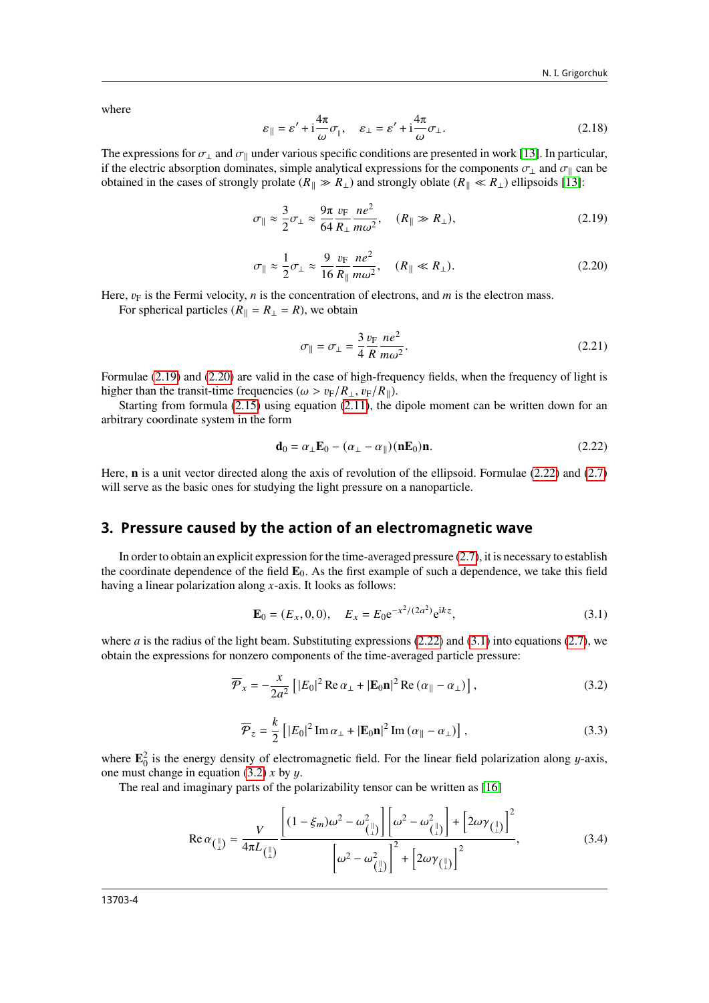where

$$
\varepsilon_{\parallel} = \varepsilon' + i\frac{4\pi}{\omega}\sigma_{\parallel}, \quad \varepsilon_{\perp} = \varepsilon' + i\frac{4\pi}{\omega}\sigma_{\perp}.
$$
 (2.18)

The expressions for  $\sigma_{\perp}$  and  $\sigma_{\parallel}$  under various specific conditions are presented in work [\[13\]](#page-9-13). In particular, if the electric absorption dominates, simple analytical expressions for the components  $\sigma_{\perp}$  and  $\sigma_{\parallel}$  can be obtained in the cases of strongly prolate ( $R_{\parallel} \gg R_{\perp}$ ) and strongly oblate ( $R_{\parallel} \ll R_{\perp}$ ) ellipsoids [\[13\]](#page-9-13):

$$
\sigma_{\parallel} \approx \frac{3}{2}\sigma_{\perp} \approx \frac{9\pi}{64} \frac{v_{\rm F}}{R_{\perp}} \frac{ne^2}{m\omega^2}, \quad (R_{\parallel} \gg R_{\perp}), \tag{2.19}
$$

$$
\sigma_{\parallel} \approx \frac{1}{2}\sigma_{\perp} \approx \frac{9}{16} \frac{v_{\rm F}}{R_{\parallel}} \frac{ne^2}{m\omega^2}, \quad (R_{\parallel} \ll R_{\perp}). \tag{2.20}
$$

<span id="page-3-1"></span>Here,  $v_F$  is the Fermi velocity, *n* is the concentration of electrons, and *m* is the electron mass.

For spherical particles ( $R_{\parallel} = R_{\perp} = R$ ), we obtain

<span id="page-3-0"></span>
$$
\sigma_{\parallel} = \sigma_{\perp} = \frac{3}{4} \frac{v_{\rm F}}{R} \frac{ne^2}{m\omega^2}.
$$
\n(2.21)

Formulae [\(2.19\)](#page-3-0) and [\(2.20\)](#page-3-1) are valid in the case of high-frequency fields, when the frequency of light is higher than the transit-time frequencies ( $\omega > v_F/R_{\perp}$ ,  $v_F/R_{\parallel}$ ).

Starting from formula [\(2.15\)](#page-2-3) using equation [\(2.11\)](#page-2-2), the dipole moment can be written down for an arbitrary coordinate system in the form

<span id="page-3-2"></span>
$$
\mathbf{d}_0 = \alpha_\perp \mathbf{E}_0 - (\alpha_\perp - \alpha_\parallel)(\mathbf{n} \mathbf{E}_0) \mathbf{n}.\tag{2.22}
$$

Here, **n** is a unit vector directed along the axis of revolution of the ellipsoid. Formulae [\(2.22\)](#page-3-2) and [\(2.7\)](#page-1-4) will serve as the basic ones for studying the light pressure on a nanoparticle.

## **3. Pressure caused by the action of an electromagnetic wave**

In order to obtain an explicit expression for the time-averaged pressure [\(2.7\)](#page-1-4), it is necessary to establish the coordinate dependence of the field **E**0. As the first example of such a dependence, we take this field having a linear polarization along  $x$ -axis. It looks as follows:

<span id="page-3-4"></span><span id="page-3-3"></span>
$$
\mathbf{E}_0 = (E_x, 0, 0), \quad E_x = E_0 e^{-x^2/(2a^2)} e^{ikz}, \tag{3.1}
$$

where  $\alpha$  is the radius of the light beam. Substituting expressions [\(2.22\)](#page-3-2) and [\(3.1\)](#page-3-3) into equations [\(2.7\)](#page-1-4), we obtain the expressions for nonzero components of the time-averaged particle pressure:

$$
\overline{\mathcal{P}}_x = -\frac{x}{2a^2} \left[ |E_0|^2 \operatorname{Re} \alpha_\perp + |\mathbf{E}_0 \mathbf{n}|^2 \operatorname{Re} (\alpha_\parallel - \alpha_\perp) \right],\tag{3.2}
$$

<span id="page-3-5"></span>
$$
\overline{\mathcal{P}}_z = \frac{k}{2} \left[ |E_0|^2 \operatorname{Im} \alpha_\perp + |\mathbf{E}_0 \mathbf{n}|^2 \operatorname{Im} (\alpha_\parallel - \alpha_\perp) \right],\tag{3.3}
$$

where  $\mathbf{E}_0^2$  is the energy density of electromagnetic field. For the linear field polarization along y-axis, one must change in equation [\(3.2\)](#page-3-4)  $x$  by  $y$ .

The real and imaginary parts of the polarizability tensor can be written as [\[16\]](#page-9-16)

$$
\operatorname{Re}\alpha_{\left(\frac{1}{\lambda}\right)} = \frac{V}{4\pi L_{\left(\frac{1}{\lambda}\right)}} \frac{\left[ (1 - \xi_m)\omega^2 - \omega_{\left(\frac{1}{\lambda}\right)}^2 \right] \left[ \omega^2 - \omega_{\left(\frac{1}{\lambda}\right)}^2 \right] + \left[ 2\omega\gamma_{\left(\frac{1}{\lambda}\right)} \right]^2}{\left[ \omega^2 - \omega_{\left(\frac{1}{\lambda}\right)}^2 \right]^2 + \left[ 2\omega\gamma_{\left(\frac{1}{\lambda}\right)} \right]^2},\tag{3.4}
$$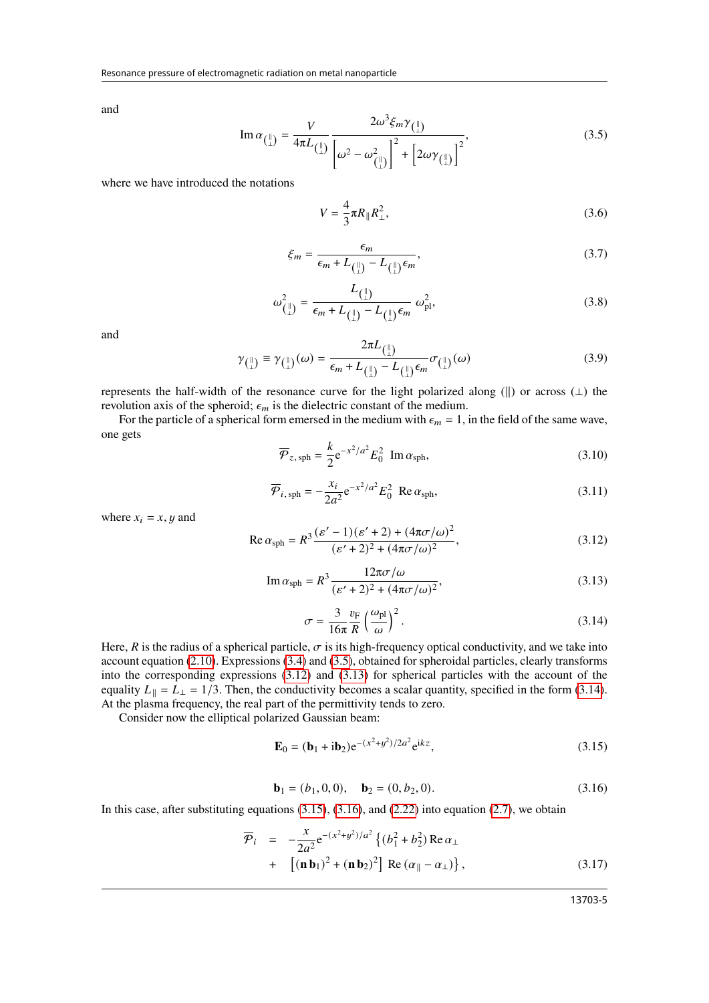<span id="page-4-0"></span>and

$$
\operatorname{Im}\alpha_{\left(\frac{||}{L}\right)} = \frac{V}{4\pi L_{\left(\frac{||}{L}\right)}} \frac{2\omega^3 \xi_m \gamma_{\left(\frac{||}{L}\right)}}{\left[\omega^2 - \omega_{\left(\frac{||}{L}\right)}^2\right]^2 + \left[2\omega \gamma_{\left(\frac{||}{L}\right)}\right]^2},\tag{3.5}
$$

<span id="page-4-9"></span>where we have introduced the notations

$$
V = \frac{4}{3}\pi R_{\parallel} R_{\perp}^2,
$$
\n(3.6)

$$
\xi_m = \frac{\epsilon_m}{\epsilon_m + L_{\left(\begin{smallmatrix} \parallel \end{smallmatrix}\right)} - L_{\left(\begin{smallmatrix} \parallel \end{smallmatrix}\right)} \epsilon_m},\tag{3.7}
$$

$$
\omega_{\binom{\parallel}{\perp}}^2 = \frac{L_{\binom{\parallel}{\perp}}}{\epsilon_m + L_{\binom{\parallel}{\perp}} - L_{\binom{\parallel}{\perp}} \epsilon_m} \omega_{\text{pl}}^2,\tag{3.8}
$$

<span id="page-4-8"></span>and

$$
\gamma_{\text{max}} \equiv \gamma_{\text{max}}(\omega) = \frac{2\pi L_{\text{max}}}{\epsilon_m + L_{\text{max}} - L_{\text{max}} \sigma_{\text{max}}} \sigma_{\text{max}}(\omega)
$$
(3.9)

represents the half-width of the resonance curve for the light polarized along ( $\parallel$ ) or across ( $\perp$ ) the revolution axis of the spheroid;  $\epsilon_m$  is the dielectric constant of the medium.

<span id="page-4-7"></span>For the particle of a spherical form emersed in the medium with  $\epsilon_m = 1$ , in the field of the same wave, one gets

$$
\overline{\mathcal{P}}_{z,\,\mathrm{sph}} = \frac{k}{2} e^{-x^2/a^2} E_0^2 \, \mathrm{Im} \, \alpha_{\mathrm{sph}},\tag{3.10}
$$

$$
\overline{\mathcal{P}}_{i,\text{sph}} = -\frac{x_i}{2a^2} e^{-x^2/a^2} E_0^2 \text{ Re } \alpha_{\text{sph}},
$$
\n(3.11)

<span id="page-4-2"></span>where  $x_i = x, y$  and

<span id="page-4-1"></span>Re 
$$
\alpha_{\rm sph} = R^3 \frac{(\varepsilon' - 1)(\varepsilon' + 2) + (4\pi\sigma/\omega)^2}{(\varepsilon' + 2)^2 + (4\pi\sigma/\omega)^2}
$$
, (3.12)

$$
\operatorname{Im}\alpha_{\rm sph} = R^3 \frac{12\pi\sigma/\omega}{(\varepsilon' + 2)^2 + (4\pi\sigma/\omega)^2},\tag{3.13}
$$

$$
\sigma = \frac{3}{16\pi} \frac{v_{\rm F}}{R} \left(\frac{\omega_{\rm pl}}{\omega}\right)^2.
$$
\n(3.14)

<span id="page-4-3"></span>Here, R is the radius of a spherical particle,  $\sigma$  is its high-frequency optical conductivity, and we take into account equation [\(2.10\)](#page-2-4). Expressions [\(3.4\)](#page-3-5) and [\(3.5\)](#page-4-0), obtained for spheroidal particles, clearly transforms into the corresponding expressions [\(3.12\)](#page-4-1) and [\(3.13\)](#page-4-2) for spherical particles with the account of the equality  $L_{\parallel} = L_{\perp} = 1/3$ . Then, the conductivity becomes a scalar quantity, specified in the form [\(3.14\)](#page-4-3). At the plasma frequency, the real part of the permittivity tends to zero.

Consider now the elliptical polarized Gaussian beam:

<span id="page-4-4"></span>
$$
\mathbf{E}_0 = (\mathbf{b}_1 + i\mathbf{b}_2)e^{-(x^2 + y^2)/2a^2}e^{ikz},
$$
\n(3.15)

$$
\mathbf{b}_1 = (b_1, 0, 0), \quad \mathbf{b}_2 = (0, b_2, 0). \tag{3.16}
$$

<span id="page-4-5"></span>In this case, after substituting equations  $(3.15)$ ,  $(3.16)$ , and  $(2.22)$  into equation  $(2.7)$ , we obtain

<span id="page-4-6"></span>
$$
\overline{\mathcal{P}}_i = -\frac{x}{2a^2} e^{-(x^2 + y^2)/a^2} \{ (b_1^2 + b_2^2) \operatorname{Re} \alpha_\perp + [(\mathbf{n} \mathbf{b}_1)^2 + (\mathbf{n} \mathbf{b}_2)^2] \operatorname{Re} (\alpha_\parallel - \alpha_\perp) \},
$$
\n(3.17)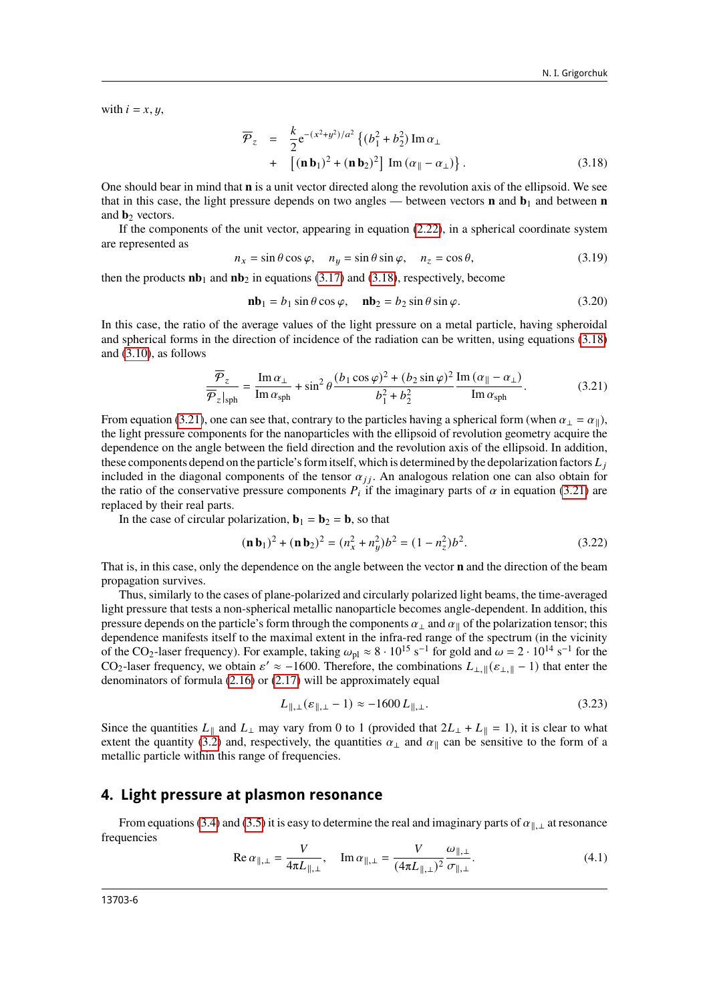with  $i = x, y$ ,

<span id="page-5-0"></span>
$$
\overline{\mathcal{P}}_z = \frac{k}{2} e^{-(x^2+y^2)/a^2} \left\{ (b_1^2 + b_2^2) \operatorname{Im} \alpha_\perp \right. \n+ \left[ (\mathbf{n} \,\mathbf{b}_1)^2 + (\mathbf{n} \,\mathbf{b}_2)^2 \right] \operatorname{Im} (\alpha_\parallel - \alpha_\perp) \right\}. \tag{3.18}
$$

One should bear in mind that **n** is a unit vector directed along the revolution axis of the ellipsoid. We see that in this case, the light pressure depends on two angles — between vectors **n** and  $\mathbf{b}_1$  and between **n** and **b**<sub>2</sub> vectors.

If the components of the unit vector, appearing in equation [\(2.22\)](#page-3-2), in a spherical coordinate system are represented as

$$
n_x = \sin \theta \cos \varphi, \quad n_y = \sin \theta \sin \varphi, \quad n_z = \cos \theta,
$$
 (3.19)

then the products  $\mathbf{nb}_1$  and  $\mathbf{nb}_2$  in equations [\(3.17\)](#page-4-6) and [\(3.18\)](#page-5-0), respectively, become

$$
\mathbf{nb}_1 = b_1 \sin \theta \cos \varphi, \quad \mathbf{nb}_2 = b_2 \sin \theta \sin \varphi.
$$
 (3.20)

In this case, the ratio of the average values of the light pressure on a metal particle, having spheroidal and spherical forms in the direction of incidence of the radiation can be written, using equations [\(3.18\)](#page-5-0) and [\(3.10\)](#page-4-7), as follows

<span id="page-5-1"></span>
$$
\frac{\overline{\mathcal{P}}_z}{\overline{\mathcal{P}}_z|_{\text{sph}}} = \frac{\text{Im}\,\alpha_\perp}{\text{Im}\,\alpha_{\text{sph}}} + \sin^2\theta \frac{(b_1\cos\varphi)^2 + (b_2\sin\varphi)^2}{b_1^2 + b_2^2} \frac{\text{Im}\,(a_{\parallel} - a_{\perp})}{\text{Im}\,\alpha_{\text{sph}}}.
$$
(3.21)

From equation [\(3.21\)](#page-5-1), one can see that, contrary to the particles having a spherical form (when  $\alpha_{\perp} = \alpha_{\parallel}$ ), the light pressure components for the nanoparticles with the ellipsoid of revolution geometry acquire the dependence on the angle between the field direction and the revolution axis of the ellipsoid. In addition, these components depend on the particle's form itself, which is determined by the depolarization factors  $L_i$ included in the diagonal components of the tensor  $\alpha_{ij}$ . An analogous relation one can also obtain for the ratio of the conservative pressure components  $P_i$  if the imaginary parts of  $\alpha$  in equation [\(3.21\)](#page-5-1) are replaced by their real parts.

In the case of circular polarization,  $\mathbf{b}_1 = \mathbf{b}_2 = \mathbf{b}$ , so that

$$
(\mathbf{n}\,\mathbf{b}_1)^2 + (\mathbf{n}\,\mathbf{b}_2)^2 = (n_x^2 + n_y^2)b^2 = (1 - n_z^2)b^2.
$$
 (3.22)

That is, in this case, only the dependence on the angle between the vector **n** and the direction of the beam propagation survives.

Thus, similarly to the cases of plane-polarized and circularly polarized light beams, the time-averaged light pressure that tests a non-spherical metallic nanoparticle becomes angle-dependent. In addition, this pressure depends on the particle's form through the components  $\alpha_{\perp}$  and  $\alpha_{\parallel}$  of the polarization tensor; this dependence manifests itself to the maximal extent in the infra-red range of the spectrum (in the vicinity of the CO<sub>2</sub>-laser frequency). For example, taking  $\omega_{\text{pl}} \approx 8 \cdot 10^{15} \text{ s}^{-1}$  for gold and  $\omega = 2 \cdot 10^{14} \text{ s}^{-1}$  for the CO<sub>2</sub>-laser frequency, we obtain  $\varepsilon' \approx -1600$ . Therefore, the combinations  $L_{\perp, \|}(\varepsilon_{\perp, \|}-1)$  that enter the denominators of formula [\(2.16\)](#page-2-5) or [\(2.17\)](#page-2-6) will be approximately equal

$$
L_{\parallel, \perp}(\varepsilon_{\parallel, \perp} - 1) \approx -1600 L_{\parallel, \perp}.
$$
\n(3.23)

Since the quantities  $L_{\parallel}$  and  $L_{\perp}$  may vary from 0 to 1 (provided that  $2L_{\perp} + L_{\parallel} = 1$ ), it is clear to what extent the quantity [\(3.2\)](#page-3-4) and, respectively, the quantities  $\alpha_{\perp}$  and  $\alpha_{\parallel}$  can be sensitive to the form of a metallic particle within this range of frequencies.

#### **4. Light pressure at plasmon resonance**

From equations [\(3.4\)](#page-3-5) and [\(3.5\)](#page-4-0) it is easy to determine the real and imaginary parts of  $\alpha_{\parallel,\perp}$  at resonance frequencies

Re 
$$
\alpha_{\parallel,\perp} = \frac{V}{4\pi L_{\parallel,\perp}}
$$
, Im  $\alpha_{\parallel,\perp} = \frac{V}{(4\pi L_{\parallel,\perp})^2} \frac{\omega_{\parallel,\perp}}{\sigma_{\parallel,\perp}}$ . (4.1)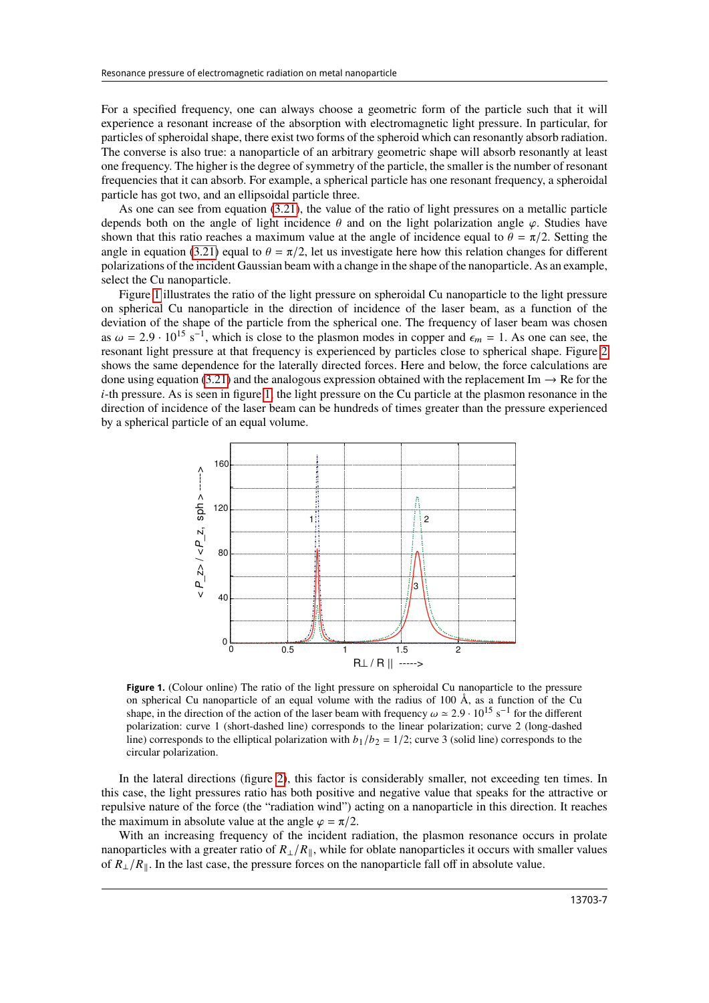For a specified frequency, one can always choose a geometric form of the particle such that it will experience a resonant increase of the absorption with electromagnetic light pressure. In particular, for particles of spheroidal shape, there exist two forms of the spheroid which can resonantly absorb radiation. The converse is also true: a nanoparticle of an arbitrary geometric shape will absorb resonantly at least one frequency. The higher is the degree of symmetry of the particle, the smaller is the number of resonant frequencies that it can absorb. For example, a spherical particle has one resonant frequency, a spheroidal particle has got two, and an ellipsoidal particle three.

As one can see from equation [\(3.21\)](#page-5-1), the value of the ratio of light pressures on a metallic particle depends both on the angle of light incidence  $\theta$  and on the light polarization angle  $\varphi$ . Studies have shown that this ratio reaches a maximum value at the angle of incidence equal to  $\theta = \pi/2$ . Setting the angle in equation [\(3.21\)](#page-5-1) equal to  $\theta = \pi/2$ , let us investigate here how this relation changes for different polarizations of the incident Gaussian beam with a change in the shape of the nanoparticle. As an example, select the Cu nanoparticle.

Figure [1](#page-6-0) illustrates the ratio of the light pressure on spheroidal Cu nanoparticle to the light pressure on spherical Cu nanoparticle in the direction of incidence of the laser beam, as a function of the deviation of the shape of the particle from the spherical one. The frequency of laser beam was chosen as  $\omega = 2.9 \cdot 10^{15} \text{ s}^{-1}$ , which is close to the plasmon modes in copper and  $\epsilon_m = 1$ . As one can see, the resonant light pressure at that frequency is experienced by particles close to spherical shape. Figure [2](#page-7-0) shows the same dependence for the laterally directed forces. Here and below, the force calculations are done using equation [\(3.21\)](#page-5-1) and the analogous expression obtained with the replacement Im  $\rightarrow$  Re for the  $i$ -th pressure. As is seen in figure [1,](#page-6-0) the light pressure on the Cu particle at the plasmon resonance in the direction of incidence of the laser beam can be hundreds of times greater than the pressure experienced by a spherical particle of an equal volume.



<span id="page-6-0"></span>**Figure 1.** (Colour online) The ratio of the light pressure on spheroidal Cu nanoparticle to the pressure on spherical Cu nanoparticle of an equal volume with the radius of 100  $\AA$ , as a function of the Cu shape, in the direction of the action of the laser beam with frequency  $\omega \approx 2.9 \cdot 10^{15} \text{ s}^{-1}$  for the different polarization: curve 1 (short-dashed line) corresponds to the linear polarization; curve 2 (long-dashed line) corresponds to the elliptical polarization with  $b_1/b_2 = 1/2$ ; curve 3 (solid line) corresponds to the circular polarization.

In the lateral directions (figure [2\)](#page-7-0), this factor is considerably smaller, not exceeding ten times. In this case, the light pressures ratio has both positive and negative value that speaks for the attractive or repulsive nature of the force (the "radiation wind") acting on a nanoparticle in this direction. It reaches the maximum in absolute value at the angle  $\varphi = \pi/2$ .

With an increasing frequency of the incident radiation, the plasmon resonance occurs in prolate nanoparticles with a greater ratio of  $R_{\perp}/R_{\parallel}$ , while for oblate nanoparticles it occurs with smaller values of  $R_{\perp}/R_{\parallel}$ . In the last case, the pressure forces on the nanoparticle fall off in absolute value.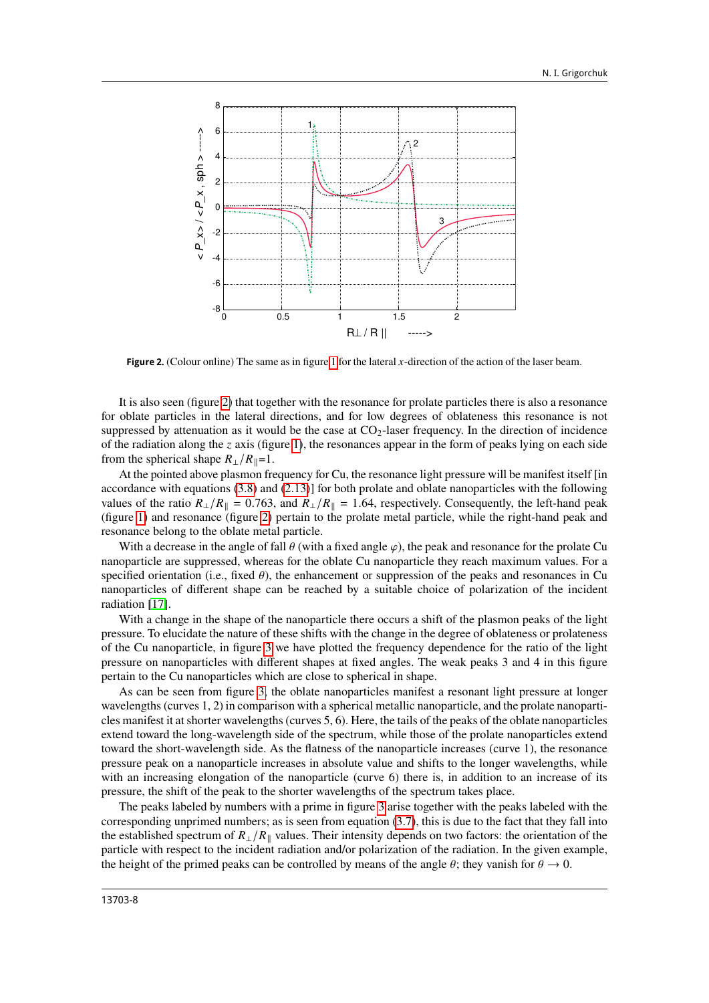

<span id="page-7-0"></span>**Figure 2.** (Colour online) The same as in figure [1](#page-6-0) for the lateral  $x$ -direction of the action of the laser beam.

It is also seen (figure [2\)](#page-7-0) that together with the resonance for prolate particles there is also a resonance for oblate particles in the lateral directions, and for low degrees of oblateness this resonance is not suppressed by attenuation as it would be the case at  $CO<sub>2</sub>$ -laser frequency. In the direction of incidence of the radiation along the z axis (figure [1\)](#page-6-0), the resonances appear in the form of peaks lying on each side from the spherical shape  $R_{\perp}/R_{\parallel}=1$ .

At the pointed above plasmon frequency for Cu, the resonance light pressure will be manifest itself [in accordance with equations [\(3.8\)](#page-4-8) and [\(2.13\)](#page-2-0)] for both prolate and oblate nanoparticles with the following values of the ratio  $R_{\perp}/R_{\parallel} = 0.763$ , and  $R_{\perp}/R_{\parallel} = 1.64$ , respectively. Consequently, the left-hand peak (figure [1\)](#page-6-0) and resonance (figure [2\)](#page-7-0) pertain to the prolate metal particle, while the right-hand peak and resonance belong to the oblate metal particle.

With a decrease in the angle of fall  $\theta$  (with a fixed angle  $\varphi$ ), the peak and resonance for the prolate Cu nanoparticle are suppressed, whereas for the oblate Cu nanoparticle they reach maximum values. For a specified orientation (i.e., fixed  $\theta$ ), the enhancement or suppression of the peaks and resonances in Cu nanoparticles of different shape can be reached by a suitable choice of polarization of the incident radiation [\[17\]](#page-9-17).

With a change in the shape of the nanoparticle there occurs a shift of the plasmon peaks of the light pressure. To elucidate the nature of these shifts with the change in the degree of oblateness or prolateness of the Cu nanoparticle, in figure [3](#page-8-0) we have plotted the frequency dependence for the ratio of the light pressure on nanoparticles with different shapes at fixed angles. The weak peaks 3 and 4 in this figure pertain to the Cu nanoparticles which are close to spherical in shape.

As can be seen from figure [3,](#page-8-0) the oblate nanoparticles manifest a resonant light pressure at longer wavelengths (curves 1, 2) in comparison with a spherical metallic nanoparticle, and the prolate nanoparticles manifest it at shorter wavelengths (curves 5, 6). Here, the tails of the peaks of the oblate nanoparticles extend toward the long-wavelength side of the spectrum, while those of the prolate nanoparticles extend toward the short-wavelength side. As the flatness of the nanoparticle increases (curve 1), the resonance pressure peak on a nanoparticle increases in absolute value and shifts to the longer wavelengths, while with an increasing elongation of the nanoparticle (curve 6) there is, in addition to an increase of its pressure, the shift of the peak to the shorter wavelengths of the spectrum takes place.

The peaks labeled by numbers with a prime in figure [3](#page-8-0) arise together with the peaks labeled with the corresponding unprimed numbers; as is seen from equation [\(3.7\)](#page-4-9), this is due to the fact that they fall into the established spectrum of  $R_{\perp}/R_{\parallel}$  values. Their intensity depends on two factors: the orientation of the particle with respect to the incident radiation and/or polarization of the radiation. In the given example, the height of the primed peaks can be controlled by means of the angle  $\theta$ ; they vanish for  $\theta \to 0$ .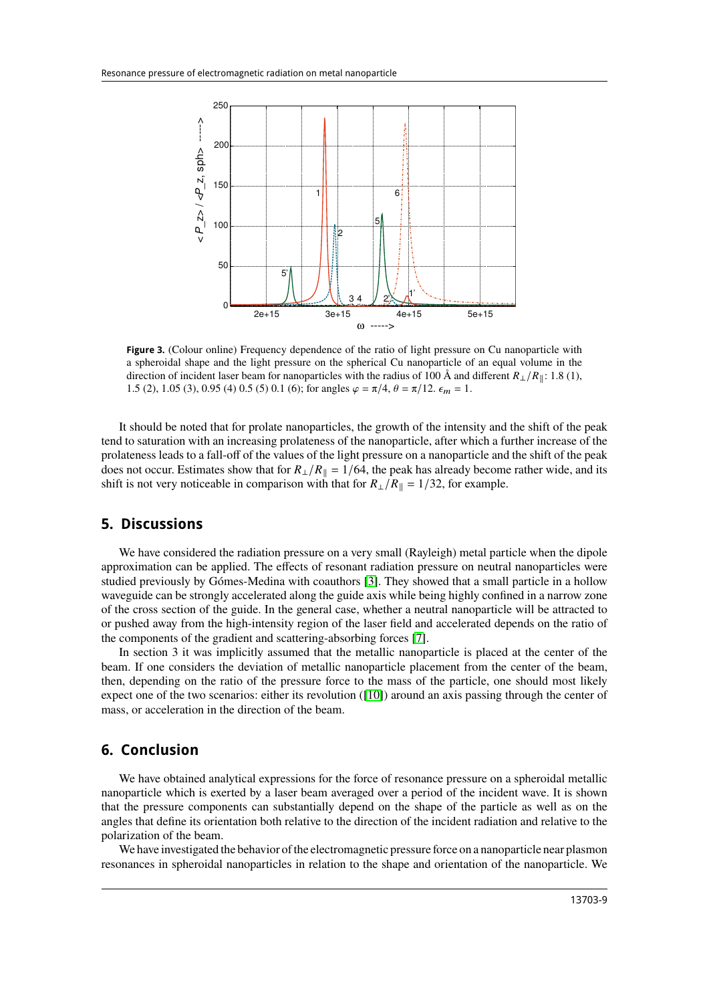

<span id="page-8-0"></span>**Figure 3.** (Colour online) Frequency dependence of the ratio of light pressure on Cu nanoparticle with a spheroidal shape and the light pressure on the spherical Cu nanoparticle of an equal volume in the direction of incident laser beam for nanoparticles with the radius of 100 Å and different  $R_{\perp}/R_{\parallel}$ : 1.8 (1), 1.5 (2), 1.05 (3), 0.95 (4) 0.5 (5) 0.1 (6); for angles  $\varphi = \pi/4$ ,  $\theta = \pi/12$ .  $\epsilon_m = 1$ .

It should be noted that for prolate nanoparticles, the growth of the intensity and the shift of the peak tend to saturation with an increasing prolateness of the nanoparticle, after which a further increase of the prolateness leads to a fall-off of the values of the light pressure on a nanoparticle and the shift of the peak does not occur. Estimates show that for  $R_{\perp}/R_{\parallel} = 1/64$ , the peak has already become rather wide, and its shift is not very noticeable in comparison with that for  $R_{\perp}/R_{\parallel} = 1/32$ , for example.

#### **5. Discussions**

We have considered the radiation pressure on a very small (Rayleigh) metal particle when the dipole approximation can be applied. The effects of resonant radiation pressure on neutral nanoparticles were studied previously by Gómes-Medina with coauthors [\[3\]](#page-9-3). They showed that a small particle in a hollow waveguide can be strongly accelerated along the guide axis while being highly confined in a narrow zone of the cross section of the guide. In the general case, whether a neutral nanoparticle will be attracted to or pushed away from the high-intensity region of the laser field and accelerated depends on the ratio of the components of the gradient and scattering-absorbing forces [\[7\]](#page-9-7).

In section 3 it was implicitly assumed that the metallic nanoparticle is placed at the center of the beam. If one considers the deviation of metallic nanoparticle placement from the center of the beam, then, depending on the ratio of the pressure force to the mass of the particle, one should most likely expect one of the two scenarios: either its revolution ([\[10\]](#page-9-10)) around an axis passing through the center of mass, or acceleration in the direction of the beam.

## **6. Conclusion**

We have obtained analytical expressions for the force of resonance pressure on a spheroidal metallic nanoparticle which is exerted by a laser beam averaged over a period of the incident wave. It is shown that the pressure components can substantially depend on the shape of the particle as well as on the angles that define its orientation both relative to the direction of the incident radiation and relative to the polarization of the beam.

We have investigated the behavior of the electromagnetic pressure force on a nanoparticle near plasmon resonances in spheroidal nanoparticles in relation to the shape and orientation of the nanoparticle. We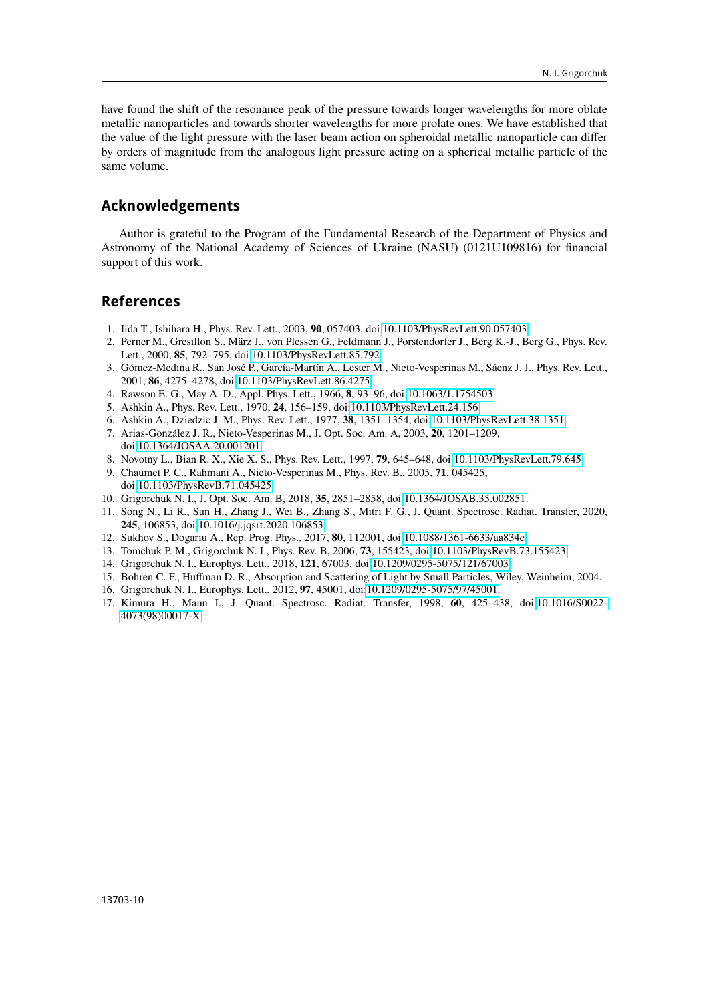have found the shift of the resonance peak of the pressure towards longer wavelengths for more oblate metallic nanoparticles and towards shorter wavelengths for more prolate ones. We have established that the value of the light pressure with the laser beam action on spheroidal metallic nanoparticle can differ by orders of magnitude from the analogous light pressure acting on a spherical metallic particle of the same volume.

## **Acknowledgements**

Author is grateful to the Program of the Fundamental Research of the Department of Physics and Astronomy of the National Academy of Sciences of Ukraine (NASU) (0121U109816) for financial support of this work.

## <span id="page-9-0"></span>**References**

- <span id="page-9-1"></span>1. Iida T., Ishihara H., Phys. Rev. Lett., 2003, **90**, 057403, doi[:10.1103/PhysRevLett.90.057403.](https://doi.org/10.1103/PhysRevLett.90.057403)
- <span id="page-9-2"></span>2. Perner M., Gresillon S., März J., von Plessen G., Feldmann J., Porstendorfer J., Berg K.-J., Berg G., Phys. Rev. Lett., 2000, **85**, 792–795, doi[:10.1103/PhysRevLett.85.792.](https://doi.org/10.1103/PhysRevLett.85.792)
- <span id="page-9-3"></span>3. Gómez-Medina R., San José P., García-Martín A., Lester M., Nieto-Vesperinas M., Sáenz J. J., Phys. Rev. Lett., 2001, **86**, 4275–4278, doi[:10.1103/PhysRevLett.86.4275.](https://doi.org/10.1103/PhysRevLett.86.4275)
- <span id="page-9-4"></span>4. Rawson E. G., May A. D., Appl. Phys. Lett., 1966, **8**, 93–96, doi[:10.1063/1.1754503.](https://doi.org/10.1063/1.1754503)
- <span id="page-9-5"></span>5. Ashkin A., Phys. Rev. Lett., 1970, **24**, 156–159, doi[:10.1103/PhysRevLett.24.156.](https://doi.org/10.1103/PhysRevLett.24.156)
- <span id="page-9-6"></span>6. Ashkin A., Dziedzic J. M., Phys. Rev. Lett., 1977, **38**, 1351–1354, doi[:10.1103/PhysRevLett.38.1351.](https://doi.org/10.1103/PhysRevLett.38.1351)
- <span id="page-9-7"></span>7. Arias-González J. R., Nieto-Vesperinas M., J. Opt. Soc. Am. A, 2003, **20**, 1201–1209, doi[:10.1364/JOSAA.20.001201.](https://doi.org/10.1364/JOSAA.20.001201)
- <span id="page-9-8"></span>8. Novotny L., Bian R. X., Xie X. S., Phys. Rev. Lett., 1997, **79**, 645–648, doi[:10.1103/PhysRevLett.79.645.](https://doi.org/10.1103/PhysRevLett.79.645)
- <span id="page-9-9"></span>9. Chaumet P. C., Rahmani A., Nieto-Vesperinas M., Phys. Rev. B., 2005, **71**, 045425, doi[:10.1103/PhysRevB.71.045425.](https://doi.org/10.1103/PhysRevB.71.045425)
- <span id="page-9-10"></span>10. Grigorchuk N. I., J. Opt. Soc. Am. B, 2018, **35**, 2851–2858, doi[:10.1364/JOSAB.35.002851.](https://doi.org/10.1364/JOSAB.35.002851)
- <span id="page-9-11"></span>11. Song N., Li R., Sun H., Zhang J., Wei B., Zhang S., Mitri F. G., J. Quant. Spectrosc. Radiat. Transfer, 2020, **245**, 106853, doi[:10.1016/j.jqsrt.2020.106853.](https://doi.org/10.1016/j.jqsrt.2020.106853)
- <span id="page-9-12"></span>12. Sukhov S., Dogariu A., Rep. Prog. Phys., 2017, **80**, 112001, doi[:10.1088/1361-6633/aa834e.](https://doi.org/10.1088/1361-6633/aa834e)
- <span id="page-9-13"></span>13. Tomchuk P. M., Grigorchuk N. I., Phys. Rev. B, 2006, **73**, 155423, doi[:10.1103/PhysRevB.73.155423.](https://doi.org/10.1103/PhysRevB.73.155423)
- <span id="page-9-14"></span>14. Grigorchuk N. I., Europhys. Lett., 2018, **121**, 67003, doi[:10.1209/0295-5075/121/67003.](https://doi.org/10.1209/0295-5075/121/67003)
- <span id="page-9-15"></span>15. Bohren C. F., Huffman D. R., Absorption and Scattering of Light by Small Particles, Wiley, Weinheim, 2004.
- <span id="page-9-16"></span>16. Grigorchuk N. I., Europhys. Lett., 2012, **97**, 45001, doi[:10.1209/0295-5075/97/45001.](https://doi.org/10.1209/0295-5075/97/45001)
- <span id="page-9-17"></span>17. Kimura H., Mann I., J. Quant. Spectrosc. Radiat. Transfer, 1998, **60**, 425–438, doi[:10.1016/S0022-](https://doi.org/10.1016/S0022-4073(98)00017-X) [4073\(98\)00017-X.](https://doi.org/10.1016/S0022-4073(98)00017-X)